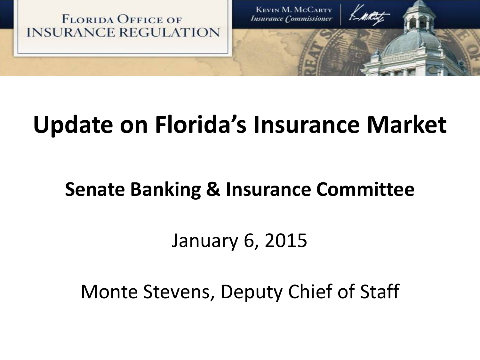

# **Update on Florida's Insurance Market**

# **Senate Banking & Insurance Committee**

# January 6, 2015

Monte Stevens, Deputy Chief of Staff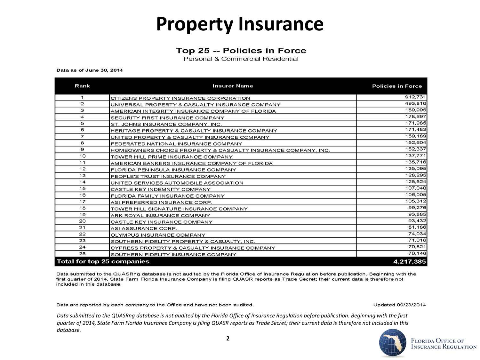## **Property Insurance**

#### Top 25 -- Policies in Force

Personal & Commercial Residential

#### Data as of June 30, 2014

| Rank           | <b>Insurer Name</b>                                           | <b>Policies in Force</b> |
|----------------|---------------------------------------------------------------|--------------------------|
| 1              | CITIZENS PROPERTY INSURANCE CORPORATION                       | 912,731                  |
| $\overline{2}$ | UNIVERSAL PROPERTY & CASUALTY INSURANCE COMPANY               | 493,810                  |
| 3              | AMERICAN INTEGRITY INSURANCE COMPANY OF FLORIDA               | 189,995                  |
| 4              | SECURITY FIRST INSURANCE COMPANY                              | 178,697                  |
| 5              | ST. JOHNS INSURANCE COMPANY, INC.                             | 171,985                  |
| 6              | HERITAGE PROPERTY & CASUALTY INSURANCE COMPANY                | 171,483                  |
| 7              | UNITED PROPERTY & CASUALTY INSURANCE COMPANY                  | 159,189                  |
| 8              | FEDERATED NATIONAL INSURANCE COMPANY                          | 152,604                  |
| 9              | HOMEOWNERS CHOICE PROPERTY & CASUALTY INSURANCE COMPANY, INC. | 152,337                  |
| 10             | TOWER HILL PRIME INSURANCE COMPANY                            | 137,771                  |
| 11             | AMERICAN BANKERS INSURANCE COMPANY OF FLORIDA                 | 135,716                  |
| 12             | FLORIDA PENINSULA INSURANCE COMPANY                           | 135,095                  |
| 13             | PEOPLE'S TRUST INSURANCE COMPANY                              | 128,295                  |
| 14             | UNITED SERVICES AUTOMOBILE ASSOCIATION                        | 125,524                  |
| 15             | CASTLE KEY INDEMNITY COMPANY                                  | 107,040                  |
| 16             | FLORIDA FAMILY INSURANCE COMPANY                              | 106,005                  |
| 17             | ASI PREFERRED INSURANCE CORP.                                 | 105,312                  |
| 18             | TOWER HILL SIGNATURE INSURANCE COMPANY                        | 99,276                   |
| 19             | ARK ROYAL INSURANCE COMPANY                                   | 93,885                   |
| 20             | CASTLE KEY INSURANCE COMPANY                                  | 93,432                   |
| 21             | ASI ASSURANCE CORP.                                           | 81,186                   |
| 22             | OLYMPUS INSURANCE COMPANY                                     | 74,034                   |
| 23             | SOUTHERN FIDELITY PROPERTY & CASUALTY, INC.                   | 71,016                   |
| 24             | CYPRESS PROPERTY & CASUALTY INSURANCE COMPANY                 | 70,821                   |
| 25             | SOUTHERN FIDELITY INSURANCE COMPANY                           | 70,146                   |
|                | Total for top 25 companies                                    | 4,217,385                |

Data submitted to the QUASRng database is not audited by the Florida Office of Insurance Regulation before publication. Beginning with the first quarter of 2014, State Farm Florida Insurance Company is filing QUASR reports as Trade Secret; their current data is therefore not included in this database.

Data are reported by each company to the Office and have not been audited.

Updated 09/23/2014

*Data submitted to the QUASRng database is not audited by the Florida Office of Insurance Regulation before publication. Beginning with the first quarter of 2014, State Farm Florida Insurance Company is filing QUASR reports as Trade Secret; their current data is therefore not i[ncluded in this](http://www.floir.com/)  database.*



**FLORIDA OFFICE OF INSURANCE REGULATION**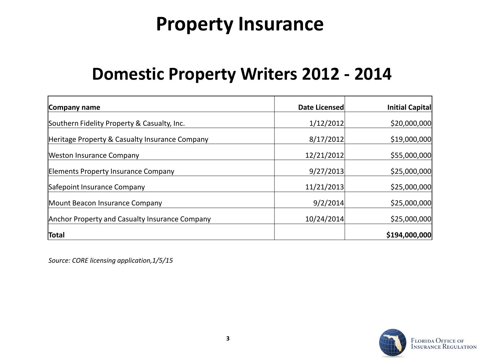# **Property Insurance**

### **Domestic Property Writers 2012 - 2014**

| Company name                                   | <b>Date Licensed</b> | Initial Capital |
|------------------------------------------------|----------------------|-----------------|
| Southern Fidelity Property & Casualty, Inc.    | 1/12/2012            | \$20,000,000    |
| Heritage Property & Casualty Insurance Company | 8/17/2012            | \$19,000,000    |
| Weston Insurance Company                       | 12/21/2012           | \$55,000,000    |
| Elements Property Insurance Company            | 9/27/2013            | \$25,000,000    |
| Safepoint Insurance Company                    | 11/21/2013           | \$25,000,000    |
| Mount Beacon Insurance Company                 | 9/2/2014             | \$25,000,000    |
| Anchor Property and Casualty Insurance Company | 10/24/2014           | \$25,000,000    |
| Total                                          |                      | \$194,000,000   |

*Source: CORE licensing application,1/5/15*

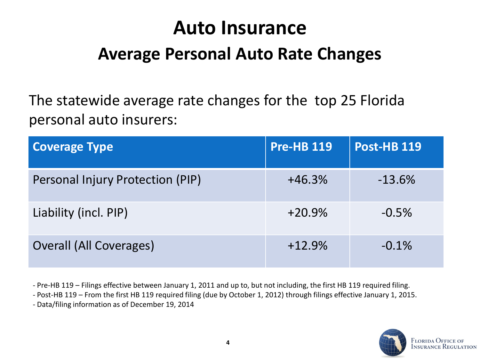# **Auto Insurance**

### **Average Personal Auto Rate Changes**

The statewide average rate changes for the top 25 Florida personal auto insurers:

| <b>Coverage Type</b>             | <b>Pre-HB 119</b> | <b>Post-HB 119</b> |
|----------------------------------|-------------------|--------------------|
| Personal Injury Protection (PIP) | $+46.3%$          | $-13.6%$           |
| Liability (incl. PIP)            | $+20.9%$          | $-0.5%$            |
| <b>Overall (All Coverages)</b>   | $+12.9%$          | $-0.1%$            |

- Pre-HB 119 – Filings effective between January 1, 2011 and up to, but not including, the first HB 119 required filing.

- Post-HB 119 – From the first HB 119 required filing (due by October 1, 2012) through filings effective January 1, 2015.

- Data/filing information as of December 19, 2014

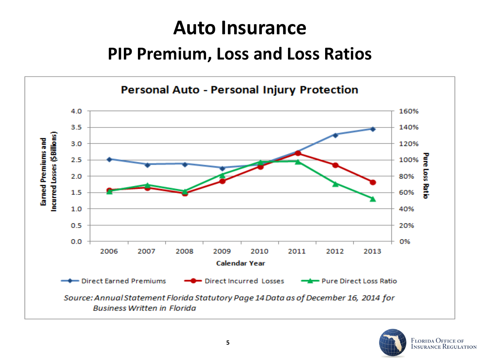# **Auto Insurance**

### **PIP Premium, Loss and Loss Ratios**



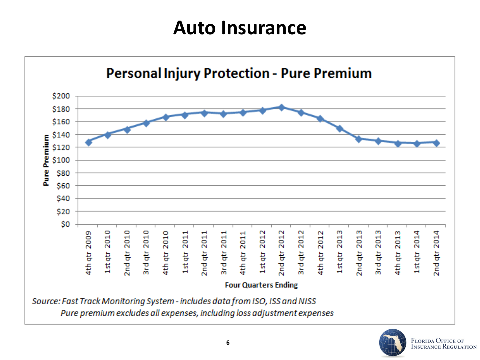# **Auto Insurance**



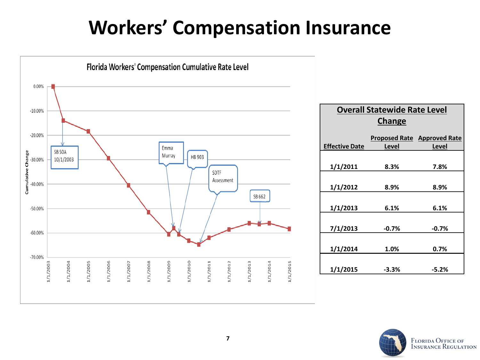# **Workers' Compensation Insurance**



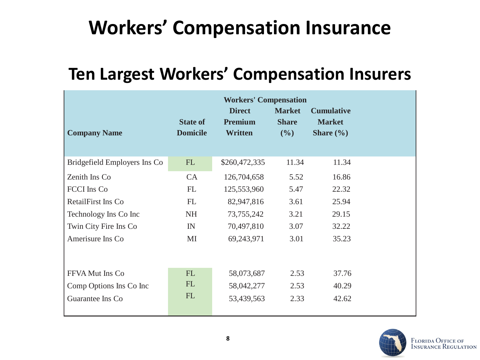# **Workers' Compensation Insurance**

## **Ten Largest Workers' Compensation Insurers**

|                              |                                    | <b>Workers' Compensation</b>                      |                                      |                                                     |  |
|------------------------------|------------------------------------|---------------------------------------------------|--------------------------------------|-----------------------------------------------------|--|
| <b>Company Name</b>          | <b>State of</b><br><b>Domicile</b> | <b>Direct</b><br><b>Premium</b><br><b>Written</b> | <b>Market</b><br><b>Share</b><br>(%) | <b>Cumulative</b><br><b>Market</b><br>Share $(\% )$ |  |
| Bridgefield Employers Ins Co | FL                                 | \$260,472,335                                     | 11.34                                | 11.34                                               |  |
| Zenith Ins Co                | CA                                 | 126,704,658                                       | 5.52                                 | 16.86                                               |  |
| <b>FCCI</b> Ins Co           | FL                                 | 125,553,960                                       | 5.47                                 | 22.32                                               |  |
| RetailFirst Ins Co           | <b>FL</b>                          | 82,947,816                                        | 3.61                                 | 25.94                                               |  |
| Technology Ins Co Inc        | <b>NH</b>                          | 73, 755, 242                                      | 3.21                                 | 29.15                                               |  |
| Twin City Fire Ins Co        | IN                                 | 70,497,810                                        | 3.07                                 | 32.22                                               |  |
| Amerisure Ins Co             | MI                                 | 69,243,971                                        | 3.01                                 | 35.23                                               |  |
| FFVA Mut Ins Co              | <b>FL</b>                          | 58,073,687                                        | 2.53                                 | 37.76                                               |  |
| Comp Options Ins Co Inc      | FL                                 | 58,042,277                                        | 2.53                                 | 40.29                                               |  |
| Guarantee Ins Co             | FL                                 | 53,439,563                                        | 2.33                                 | 42.62                                               |  |

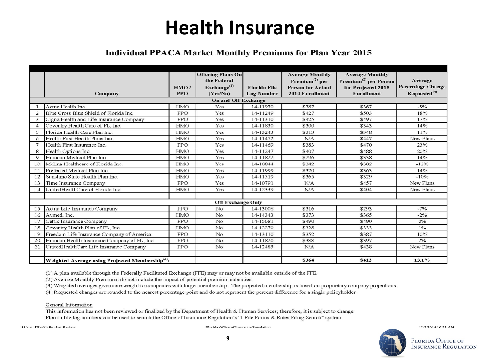## **Health Insurance**

#### **Individual PPACA Market Monthly Premiums for Plan Year 2015**

|                |                                                              |            | <b>Offering Plans On</b> |                     | <b>Average Monthly</b>     | <b>Average Monthly</b>            |                          |
|----------------|--------------------------------------------------------------|------------|--------------------------|---------------------|----------------------------|-----------------------------------|--------------------------|
|                |                                                              |            | the Federal              |                     | Premium <sup>(2)</sup> per | Premium <sup>(2)</sup> per Person | Average                  |
|                |                                                              | HMO/       | Exchange <sup>(1)</sup>  | <b>Florida File</b> | <b>Person for Actual</b>   | for Projected 2015                | <b>Percentage Change</b> |
|                | Company                                                      | <b>PPO</b> | (Yes/No)                 | <b>Log Number</b>   | 2014 Enrollment            | <b>Enrollment</b>                 | Requested <sup>(4)</sup> |
|                |                                                              |            | On and Off Exchange      |                     |                            |                                   |                          |
|                | Aetna Health Inc.                                            | HMO        | Yes                      | 14-11970            | \$387                      | \$367                             | $-5%$                    |
| $\overline{2}$ | Blue Cross Blue Shield of Florida Inc.                       | PPO        | Yes                      | 14-11249            | \$427                      | \$503                             | 18%                      |
| 3              | Cigna Health and Life Insurance Company                      | PPO        | Yes                      | 14-11310            | \$425                      | \$497                             | 17%                      |
| $\Lambda$      | Coventry Health Care of FL, Inc.                             | HMO        | Yes                      | 14-11830            | \$300                      | \$343                             | 14%                      |
| 5              | Florida Health Care Plan Inc.                                | HMO        | Yes                      | 14-13243            | \$313                      | \$348                             | 11%                      |
| 6              | Health First Health Plans Inc.                               | HMO        | Yes                      | 14-11472            | N/A                        | \$447                             | New Plans                |
|                | Health First Insurance Inc.                                  | PPO        | Yes                      | 14-11469            | \$383                      | \$470                             | 23%                      |
| 8              | Health Options Inc.                                          | HMO        | Yes                      | 14-11247            | \$407                      | \$488                             | 20%                      |
| 9              | Humana Medical Plan Inc.                                     | HMO        | Yes                      | 14-11822            | \$296                      | \$338                             | 14%                      |
| 10             | Molina Healthcare of Florida Inc.                            | HMO        | Yes                      | 14-10844            | \$342                      | \$302                             | $-12%$                   |
| 11             | Preferred Medical Plan Inc.                                  | HMO        | Yes                      | 14-11999            | \$320                      | \$363                             | 14%                      |
| 12             | Sunshine State Health Plan Inc.                              | <b>HMO</b> | Yes                      | 14-11519            | \$365                      | \$329                             | $-10%$                   |
| 13             | Time Insurance Company                                       | <b>PPO</b> | Yes                      | 14-10791            | N/A                        | \$457                             | New Plans                |
| 14             | UnitedHealthCare of Florida Inc.                             | <b>HMO</b> | Yes                      | 14-12339            | N/A                        | \$404                             | New Plans                |
|                |                                                              |            |                          |                     |                            |                                   |                          |
|                |                                                              |            | <b>Off Exchange Only</b> |                     |                            |                                   |                          |
| 15             | Aetna Life Insurance Company                                 | PPO        | No                       | 14-13008            | \$316                      | \$293                             | $-7%$                    |
| 16             | Avmed, Inc.                                                  | HMO        | No                       | 14-14343            | \$373                      | \$365                             | $-2%$                    |
| 17             | Celtic Insurance Company                                     | PPO        | No                       | 14-15681            | \$490                      | \$490                             | 0%                       |
| 18             | Coventry Health Plan of FL, Inc.                             | HMO        | No                       | 14-12270            | \$328                      | \$333                             | 1%                       |
| 19             | Freedom Life Insurance Company of America                    | PPO        | No                       | 14-13110            | \$352                      | \$387                             | 10%                      |
| 20             | Humana Health Insurance Company of FL, Inc.                  | <b>PPO</b> | No                       | 14-11820            | \$388                      | \$397                             | 2%                       |
| 21             | UnitedHealthCare Life Insurance Company                      | PPO        | No                       | 14-12485            | N/A                        | \$438                             | New Plans                |
|                |                                                              |            |                          |                     |                            |                                   |                          |
|                | Weighted Average using Projected Membership <sup>(3)</sup> : |            |                          |                     | \$364                      | \$412                             | 13.1%                    |

(1) A plan available through the Federally Facilitated Exchange (FFE) may or may not be available outside of the FFE.

(2) Average Monthly Premiums do not include the impact of potential premium subsidies.

(3) Weighted averages give more weight to companies with larger membership. The projected membership is based on proprietary company projections.

(4) Requested changes are rounded to the nearest percentage point and do not represent the percent difference for a single policyholder.

General Information

This information has not been reviewed or finalized by the Department of Health & Human Services; therefore, it is subject to change. Florida file log numbers can be used to search the Office of Insurance Regulation's "I-File Forms & Rates Filing Search" system.

**Life and Health Product Review** 

Florida Office of Insurance Regulation



12/3/2014 10:37 AM